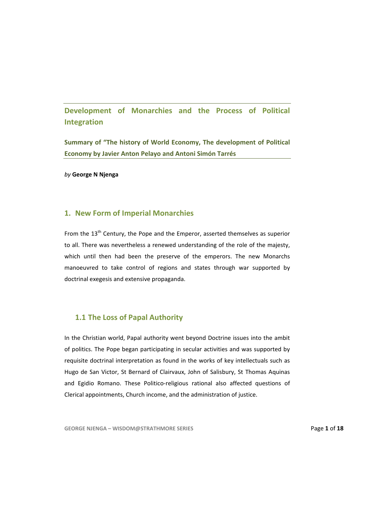**Development of Monarchies and the Process of Political Integration**

**Summary of "The history of World Economy, The development of Political Economy by Javier Anton Pelayo and Antoni Simón Tarrés** 

*by* **George N Njenga**

## **1. New Form of Imperial Monarchies**

From the 13<sup>th</sup> Century, the Pope and the Emperor, asserted themselves as superior to all. There was nevertheless a renewed understanding of the role of the majesty, which until then had been the preserve of the emperors. The new Monarchs manoeuvred to take control of regions and states through war supported by doctrinal exegesis and extensive propaganda.

## **1.1 The Loss of Papal Authority**

In the Christian world, Papal authority went beyond Doctrine issues into the ambit of politics. The Pope began participating in secular activities and was supported by requisite doctrinal interpretation as found in the works of key intellectuals such as Hugo de San Victor, St Bernard of Clairvaux, John of Salisbury, St Thomas Aquinas and Egidio Romano. These Politico-religious rational also affected questions of Clerical appointments, Church income, and the administration of justice.

**GEORGE NJENGA – WISDOM@STRATHMORE SERIES** Page **1** of **18**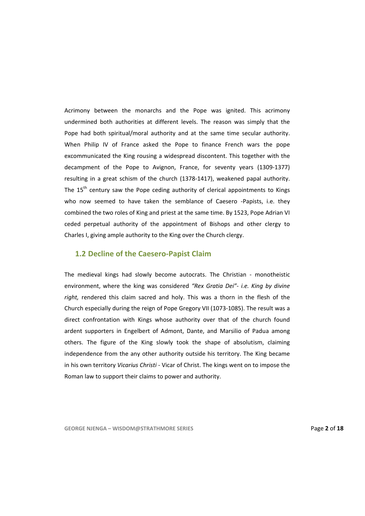Acrimony between the monarchs and the Pope was ignited. This acrimony undermined both authorities at different levels. The reason was simply that the Pope had both spiritual/moral authority and at the same time secular authority. When Philip IV of France asked the Pope to finance French wars the pope excommunicated the King rousing a widespread discontent. This together with the decampment of the Pope to Avignon, France, for seventy years (1309‐1377) resulting in a great schism of the church (1378‐1417), weakened papal authority. The  $15<sup>th</sup>$  century saw the Pope ceding authority of clerical appointments to Kings who now seemed to have taken the semblance of Caesero -Papists, i.e. they combined the two roles of King and priest at the same time. By 1523, Pope Adrian VI ceded perpetual authority of the appointment of Bishops and other clergy to Charles I, giving ample authority to the King over the Church clergy.

## **1.2 Decline of the Caesero‐Papist Claim**

The medieval kings had slowly become autocrats. The Christian - monotheistic environment, where the king was considered *"Rex Gratia Dei"‐ i.e. King by divine right,* rendered this claim sacred and holy. This was a thorn in the flesh of the Church especially during the reign of Pope Gregory VII (1073‐1085). The result was a direct confrontation with Kings whose authority over that of the church found ardent supporters in Engelbert of Admont, Dante, and Marsilio of Padua among others. The figure of the King slowly took the shape of absolutism, claiming independence from the any other authority outside his territory. The King became in his own territory *Vicarius Christi ‐* Vicar of Christ. The kings went on to impose the Roman law to support their claims to power and authority.

**GEORGE NJENGA – WISDOM@STRATHMORE SERIES** Page **2** of **18**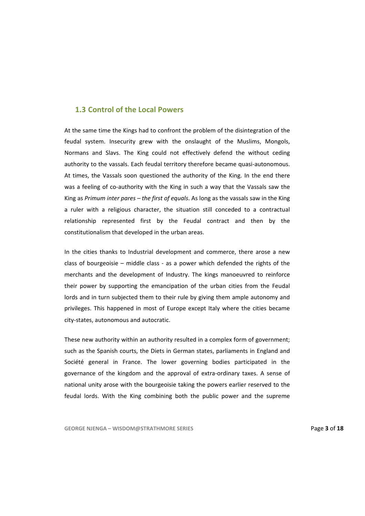# **1.3 Control of the Local Powers**

At the same time the Kings had to confront the problem of the disintegration of the feudal system. Insecurity grew with the onslaught of the Muslims, Mongols, Normans and Slavs. The King could not effectively defend the without ceding authority to the vassals. Each feudal territory therefore became quasi-autonomous. At times, the Vassals soon questioned the authority of the King. In the end there was a feeling of co-authority with the King in such a way that the Vassals saw the King as *Primum inter pares – the first of equals*. As long as the vassals saw in the King a ruler with a religious character, the situation still conceded to a contractual relationship represented first by the Feudal contract and then by the constitutionalism that developed in the urban areas.

In the cities thanks to Industrial development and commerce, there arose a new class of bourgeoisie – middle class - as a power which defended the rights of the merchants and the development of Industry. The kings manoeuvred to reinforce their power by supporting the emancipation of the urban cities from the Feudal lords and in turn subjected them to their rule by giving them ample autonomy and privileges. This happened in most of Europe except Italy where the cities became city‐states, autonomous and autocratic.

These new authority within an authority resulted in a complex form of government; such as the Spanish courts, the Diets in German states, parliaments in England and Société general in France. The lower governing bodies participated in the governance of the kingdom and the approval of extra‐ordinary taxes. A sense of national unity arose with the bourgeoisie taking the powers earlier reserved to the feudal lords. With the King combining both the public power and the supreme

**GEORGE NJENGA – WISDOM@STRATHMORE SERIES** Page **3** of **18**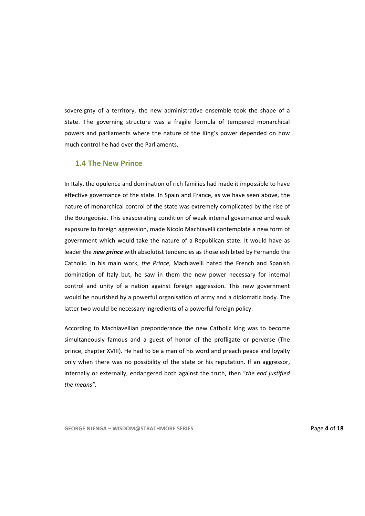sovereignty of a territory, the new administrative ensemble took the shape of a State. The governing structure was a fragile formula of tempered monarchical powers and parliaments where the nature of the King's power depended on how much control he had over the Parliaments.

# **1.4 The New Prince**

In Italy, the opulence and domination of rich families had made it impossible to have effective governance of the state. In Spain and France, as we have seen above, the nature of monarchical control of the state was extremely complicated by the rise of the Bourgeoisie. This exasperating condition of weak internal governance and weak exposure to foreign aggression, made Nicolo Machiavelli contemplate a new form of government which would take the nature of a Republican state. It would have as leader the *new prince* with absolutist tendencies as those exhibited by Fernando the Catholic. In his main work, *the Prince*, Machiavelli hated the French and Spanish domination of Italy but, he saw in them the new power necessary for internal control and unity of a nation against foreign aggression. This new government would be nourished by a powerful organisation of army and a diplomatic body. The latter two would be necessary ingredients of a powerful foreign policy.

According to Machiavellian preponderance the new Catholic king was to become simultaneously famous and a guest of honor of the profligate or perverse (The prince, chapter XVIII). He had to be a man of his word and preach peace and loyalty only when there was no possibility of the state or his reputation. If an aggressor, internally or externally, endangered both against the truth, then "*the end justified the means".*

**GEORGE NJENGA – WISDOM@STRATHMORE SERIES** Page **4** of **18**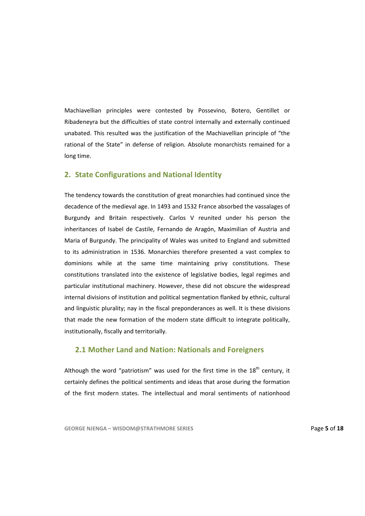Machiavellian principles were contested by Possevino, Botero, Gentillet or Ribadeneyra but the difficulties of state control internally and externally continued unabated. This resulted was the justification of the Machiavellian principle of "the rational of the State" in defense of religion. Absolute monarchists remained for a long time.

## **2. State Configurations and National Identity**

The tendency towards the constitution of great monarchies had continued since the decadence of the medieval age. In 1493 and 1532 France absorbed the vassalages of Burgundy and Britain respectively. Carlos V reunited under his person the inheritances of Isabel de Castile, Fernando de Aragón, Maximilian of Austria and Maria of Burgundy. The principality of Wales was united to England and submitted to its administration in 1536. Monarchies therefore presented a vast complex to dominions while at the same time maintaining privy constitutions. These constitutions translated into the existence of legislative bodies, legal regimes and particular institutional machinery. However, these did not obscure the widespread internal divisions of institution and political segmentation flanked by ethnic, cultural and linguistic plurality; nay in the fiscal preponderances as well. It is these divisions that made the new formation of the modern state difficult to integrate politically, institutionally, fiscally and territorially.

## **2.1 Mother Land and Nation: Nationals and Foreigners**

Although the word "patriotism" was used for the first time in the  $18<sup>th</sup>$  century, it certainly defines the political sentiments and ideas that arose during the formation of the first modern states. The intellectual and moral sentiments of nationhood

**GEORGE NJENGA – WISDOM@STRATHMORE SERIES** Page **5** of **18**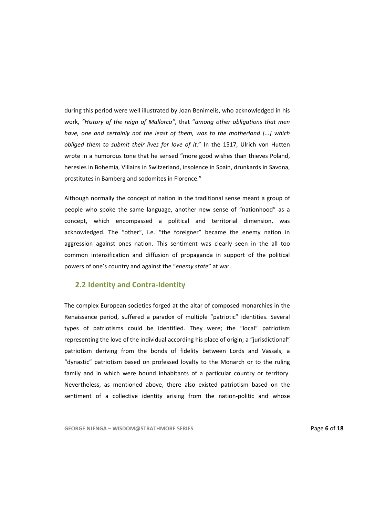during this period were well illustrated by Joan Benimelis, who acknowledged in his work, *"History of the reign of Mallorca"*, that "*among other obligations that men have, one and certainly not the least of them, was to the motherland [...] which obliged them to submit their lives for love of it.*" In the 1517, Ulrich von Hutten wrote in a humorous tone that he sensed "more good wishes than thieves Poland, heresies in Bohemia, Villains in Switzerland, insolence in Spain, drunkards in Savona, prostitutes in Bamberg and sodomites in Florence."

Although normally the concept of nation in the traditional sense meant a group of people who spoke the same language, another new sense of "nationhood" as a concept, which encompassed a political and territorial dimension, was acknowledged. The "other", i.e. "the foreigner" became the enemy nation in aggression against ones nation. This sentiment was clearly seen in the all too common intensification and diffusion of propaganda in support of the political powers of one's country and against the "*enemy state*" at war.

# **2.2 Identity and Contra‐Identity**

The complex European societies forged at the altar of composed monarchies in the Renaissance period, suffered a paradox of multiple "patriotic" identities. Several types of patriotisms could be identified. They were; the "local" patriotism representing the love of the individual according his place of origin; a "jurisdictional" patriotism deriving from the bonds of fidelity between Lords and Vassals; a "dynastic" patriotism based on professed loyalty to the Monarch or to the ruling family and in which were bound inhabitants of a particular country or territory. Nevertheless, as mentioned above, there also existed patriotism based on the sentiment of a collective identity arising from the nation-politic and whose

**GEORGE NJENGA – WISDOM@STRATHMORE SERIES** Page **6** of **18**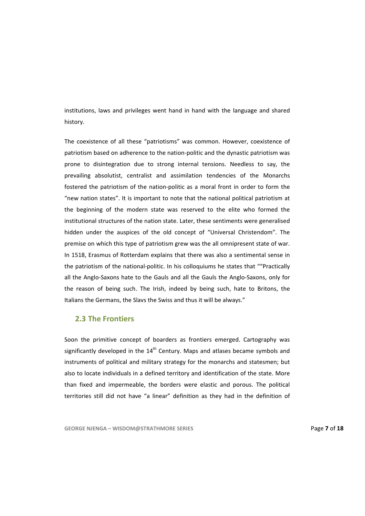institutions, laws and privileges went hand in hand with the language and shared history.

The coexistence of all these "patriotisms" was common. However, coexistence of patriotism based on adherence to the nation‐politic and the dynastic patriotism was prone to disintegration due to strong internal tensions. Needless to say, the prevailing absolutist, centralist and assimilation tendencies of the Monarchs fostered the patriotism of the nation‐politic as a moral front in order to form the "new nation states". It is important to note that the national political patriotism at the beginning of the modern state was reserved to the elite who formed the institutional structures of the nation state. Later, these sentiments were generalised hidden under the auspices of the old concept of "Universal Christendom". The premise on which this type of patriotism grew was the all omnipresent state of war. In 1518, Erasmus of Rotterdam explains that there was also a sentimental sense in the patriotism of the national-politic. In his colloquiums he states that ""Practically all the Anglo‐Saxons hate to the Gauls and all the Gauls the Anglo‐Saxons, only for the reason of being such. The Irish, indeed by being such, hate to Britons, the Italians the Germans, the Slavs the Swiss and thus it will be always."

# **2.3 The Frontiers**

Soon the primitive concept of boarders as frontiers emerged. Cartography was significantly developed in the  $14<sup>th</sup>$  Century. Maps and atlases became symbols and instruments of political and military strategy for the monarchs and statesmen; but also to locate individuals in a defined territory and identification of the state. More than fixed and impermeable, the borders were elastic and porous. The political territories still did not have "a linear" definition as they had in the definition of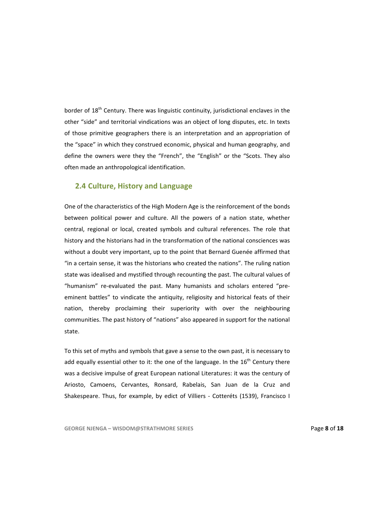border of  $18<sup>th</sup>$  Century. There was linguistic continuity, jurisdictional enclaves in the other "side" and territorial vindications was an object of long disputes, etc. In texts of those primitive geographers there is an interpretation and an appropriation of the "space" in which they construed economic, physical and human geography, and define the owners were they the "French", the "English" or the "Scots. They also often made an anthropological identification.

### **2.4 Culture, History and Language**

One of the characteristics of the High Modern Age is the reinforcement of the bonds between political power and culture. All the powers of a nation state, whether central, regional or local, created symbols and cultural references. The role that history and the historians had in the transformation of the national consciences was without a doubt very important, up to the point that Bernard Guenée affirmed that "in a certain sense, it was the historians who created the nations". The ruling nation state was idealised and mystified through recounting the past. The cultural values of "humanism" re‐evaluated the past. Many humanists and scholars entered "pre‐ eminent battles" to vindicate the antiquity, religiosity and historical feats of their nation, thereby proclaiming their superiority with over the neighbouring communities. The past history of "nations" also appeared in support for the national state.

To this set of myths and symbols that gave a sense to the own past, it is necessary to add equally essential other to it: the one of the language. In the  $16<sup>th</sup>$  Century there was a decisive impulse of great European national Literatures: it was the century of Ariosto, Camoens, Cervantes, Ronsard, Rabelais, San Juan de la Cruz and Shakespeare. Thus, for example, by edict of Villiers - Cotteréts (1539), Francisco I

**GEORGE NJENGA – WISDOM@STRATHMORE SERIES** Page **8** of **18**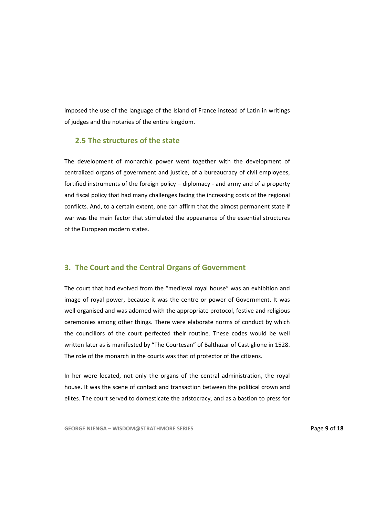imposed the use of the language of the Island of France instead of Latin in writings of judges and the notaries of the entire kingdom.

# **2.5 The structures of the state**

The development of monarchic power went together with the development of centralized organs of government and justice, of a bureaucracy of civil employees, fortified instruments of the foreign policy – diplomacy ‐ and army and of a property and fiscal policy that had many challenges facing the increasing costs of the regional conflicts. And, to a certain extent, one can affirm that the almost permanent state if war was the main factor that stimulated the appearance of the essential structures of the European modern states.

### **3. The Court and the Central Organs of Government**

The court that had evolved from the "medieval royal house" was an exhibition and image of royal power, because it was the centre or power of Government. It was well organised and was adorned with the appropriate protocol, festive and religious ceremonies among other things. There were elaborate norms of conduct by which the councillors of the court perfected their routine. These codes would be well written later as is manifested by "The Courtesan" of Balthazar of Castiglione in 1528. The role of the monarch in the courts was that of protector of the citizens.

In her were located, not only the organs of the central administration, the royal house. It was the scene of contact and transaction between the political crown and elites. The court served to domesticate the aristocracy, and as a bastion to press for

**GEORGE NJENGA – WISDOM@STRATHMORE SERIES** Page **9** of **18**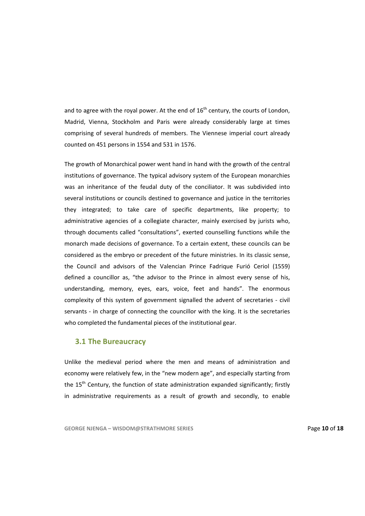and to agree with the royal power. At the end of  $16<sup>th</sup>$  century, the courts of London, Madrid, Vienna, Stockholm and Paris were already considerably large at times comprising of several hundreds of members. The Viennese imperial court already counted on 451 persons in 1554 and 531 in 1576.

The growth of Monarchical power went hand in hand with the growth of the central institutions of governance. The typical advisory system of the European monarchies was an inheritance of the feudal duty of the conciliator. It was subdivided into several institutions or councils destined to governance and justice in the territories they integrated; to take care of specific departments, like property; to administrative agencies of a collegiate character, mainly exercised by jurists who, through documents called "consultations", exerted counselling functions while the monarch made decisions of governance. To a certain extent, these councils can be considered as the embryo or precedent of the future ministries. In its classic sense, the Council and advisors of the Valencian Prince Fadrique Furió Ceriol (1559) defined a councillor as, "the advisor to the Prince in almost every sense of his, understanding, memory, eyes, ears, voice, feet and hands". The enormous complexity of this system of government signalled the advent of secretaries ‐ civil servants - in charge of connecting the councillor with the king. It is the secretaries who completed the fundamental pieces of the institutional gear.

### **3.1 The Bureaucracy**

Unlike the medieval period where the men and means of administration and economy were relatively few, in the "new modern age", and especially starting from the  $15<sup>th</sup>$  Century, the function of state administration expanded significantly; firstly in administrative requirements as a result of growth and secondly, to enable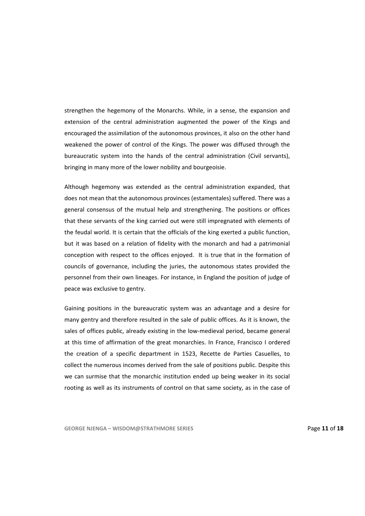strengthen the hegemony of the Monarchs. While, in a sense, the expansion and extension of the central administration augmented the power of the Kings and encouraged the assimilation of the autonomous provinces, it also on the other hand weakened the power of control of the Kings. The power was diffused through the bureaucratic system into the hands of the central administration (Civil servants), bringing in many more of the lower nobility and bourgeoisie.

Although hegemony was extended as the central administration expanded, that does not mean that the autonomous provinces (estamentales) suffered. There was a general consensus of the mutual help and strengthening. The positions or offices that these servants of the king carried out were still impregnated with elements of the feudal world. It is certain that the officials of the king exerted a public function, but it was based on a relation of fidelity with the monarch and had a patrimonial conception with respect to the offices enjoyed. It is true that in the formation of councils of governance, including the juries, the autonomous states provided the personnel from their own lineages. For instance, in England the position of judge of peace was exclusive to gentry.

Gaining positions in the bureaucratic system was an advantage and a desire for many gentry and therefore resulted in the sale of public offices. As it is known, the sales of offices public, already existing in the low-medieval period, became general at this time of affirmation of the great monarchies. In France, Francisco I ordered the creation of a specific department in 1523, Recette de Parties Casuelles, to collect the numerous incomes derived from the sale of positions public. Despite this we can surmise that the monarchic institution ended up being weaker in its social rooting as well as its instruments of control on that same society, as in the case of

**GEORGE NJENGA – WISDOM@STRATHMORE SERIES** Page **11** of **18**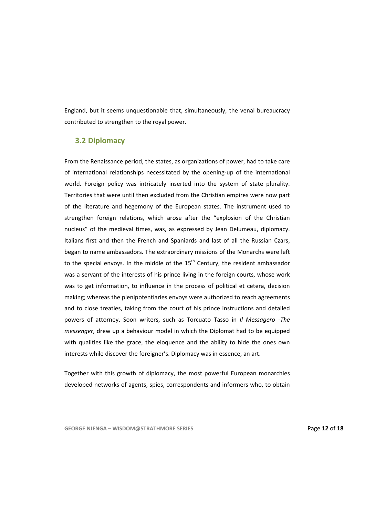England, but it seems unquestionable that, simultaneously, the venal bureaucracy contributed to strengthen to the royal power.

### **3.2 Diplomacy**

From the Renaissance period, the states, as organizations of power, had to take care of international relationships necessitated by the opening‐up of the international world. Foreign policy was intricately inserted into the system of state plurality. Territories that were until then excluded from the Christian empires were now part of the literature and hegemony of the European states. The instrument used to strengthen foreign relations, which arose after the "explosion of the Christian nucleus" of the medieval times, was, as expressed by Jean Delumeau, diplomacy. Italians first and then the French and Spaniards and last of all the Russian Czars, began to name ambassadors. The extraordinary missions of the Monarchs were left to the special envoys. In the middle of the  $15<sup>th</sup>$  Century, the resident ambassador was a servant of the interests of his prince living in the foreign courts, whose work was to get information, to influence in the process of political et cetera, decision making; whereas the plenipotentiaries envoys were authorized to reach agreements and to close treaties, taking from the court of his prince instructions and detailed powers of attorney. Soon writers, such as Torcuato Tasso in *Il Messagero ‐The messenger*, drew up a behaviour model in which the Diplomat had to be equipped with qualities like the grace, the eloquence and the ability to hide the ones own interests while discover the foreigner's. Diplomacy was in essence, an art.

Together with this growth of diplomacy, the most powerful European monarchies developed networks of agents, spies, correspondents and informers who, to obtain

**GEORGE NJENGA – WISDOM@STRATHMORE SERIES** Page **12** of **18**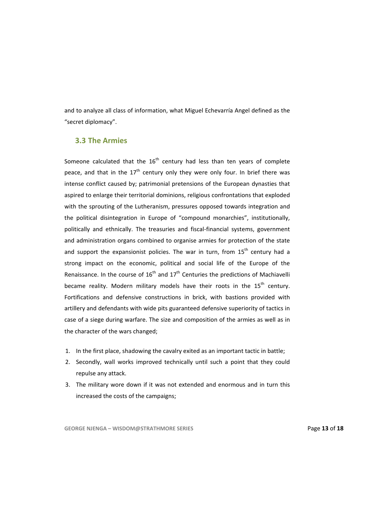and to analyze all class of information, what Miguel Echevarría Angel defined as the "secret diplomacy".

## **3.3 The Armies**

Someone calculated that the  $16<sup>th</sup>$  century had less than ten years of complete peace, and that in the  $17<sup>th</sup>$  century only they were only four. In brief there was intense conflict caused by; patrimonial pretensions of the European dynasties that aspired to enlarge their territorial dominions, religious confrontations that exploded with the sprouting of the Lutheranism, pressures opposed towards integration and the political disintegration in Europe of "compound monarchies", institutionally, politically and ethnically. The treasuries and fiscal-financial systems, government and administration organs combined to organise armies for protection of the state and support the expansionist policies. The war in turn, from  $15<sup>th</sup>$  century had a strong impact on the economic, political and social life of the Europe of the Renaissance. In the course of  $16<sup>th</sup>$  and  $17<sup>th</sup>$  Centuries the predictions of Machiavelli became reality. Modern military models have their roots in the  $15<sup>th</sup>$  century. Fortifications and defensive constructions in brick, with bastions provided with artillery and defendants with wide pits guaranteed defensive superiority of tactics in case of a siege during warfare. The size and composition of the armies as well as in the character of the wars changed;

- 1. In the first place, shadowing the cavalry exited as an important tactic in battle;
- 2. Secondly, wall works improved technically until such a point that they could repulse any attack.
- 3. The military wore down if it was not extended and enormous and in turn this increased the costs of the campaigns;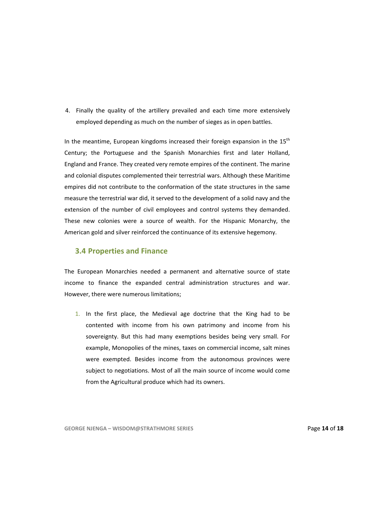4. Finally the quality of the artillery prevailed and each time more extensively employed depending as much on the number of sieges as in open battles.

In the meantime, European kingdoms increased their foreign expansion in the  $15<sup>th</sup>$ Century; the Portuguese and the Spanish Monarchies first and later Holland, England and France. They created very remote empires of the continent. The marine and colonial disputes complemented their terrestrial wars. Although these Maritime empires did not contribute to the conformation of the state structures in the same measure the terrestrial war did, it served to the development of a solid navy and the extension of the number of civil employees and control systems they demanded. These new colonies were a source of wealth. For the Hispanic Monarchy, the American gold and silver reinforced the continuance of its extensive hegemony.

# **3.4 Properties and Finance**

The European Monarchies needed a permanent and alternative source of state income to finance the expanded central administration structures and war. However, there were numerous limitations;

1. In the first place, the Medieval age doctrine that the King had to be contented with income from his own patrimony and income from his sovereignty. But this had many exemptions besides being very small. For example, Monopolies of the mines, taxes on commercial income, salt mines were exempted. Besides income from the autonomous provinces were subject to negotiations. Most of all the main source of income would come from the Agricultural produce which had its owners.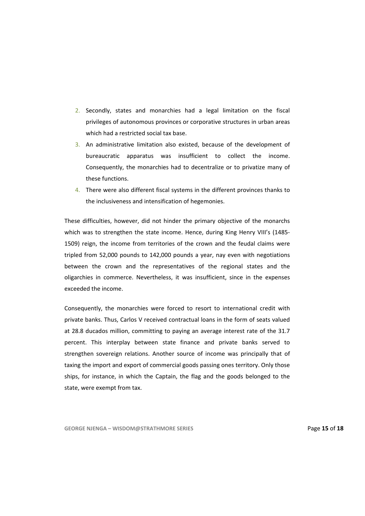- 2. Secondly, states and monarchies had a legal limitation on the fiscal privileges of autonomous provinces or corporative structures in urban areas which had a restricted social tax base.
- 3. An administrative limitation also existed, because of the development of bureaucratic apparatus was insufficient to collect the income. Consequently, the monarchies had to decentralize or to privatize many of these functions.
- 4. There were also different fiscal systems in the different provinces thanks to the inclusiveness and intensification of hegemonies.

These difficulties, however, did not hinder the primary objective of the monarchs which was to strengthen the state income. Hence, during King Henry VIII's (1485-1509) reign, the income from territories of the crown and the feudal claims were tripled from 52,000 pounds to 142,000 pounds a year, nay even with negotiations between the crown and the representatives of the regional states and the oligarchies in commerce. Nevertheless, it was insufficient, since in the expenses exceeded the income.

Consequently, the monarchies were forced to resort to international credit with private banks. Thus, Carlos V received contractual loans in the form of seats valued at 28.8 ducados million, committing to paying an average interest rate of the 31.7 percent. This interplay between state finance and private banks served to strengthen sovereign relations. Another source of income was principally that of taxing the import and export of commercial goods passing ones territory. Only those ships, for instance, in which the Captain, the flag and the goods belonged to the state, were exempt from tax.

**GEORGE NJENGA – WISDOM@STRATHMORE SERIES** Page **15** of **18**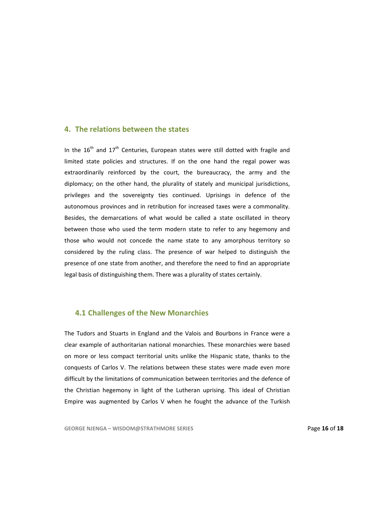#### **4. The relations between the states**

In the  $16<sup>th</sup>$  and  $17<sup>th</sup>$  Centuries, European states were still dotted with fragile and limited state policies and structures. If on the one hand the regal power was extraordinarily reinforced by the court, the bureaucracy, the army and the diplomacy; on the other hand, the plurality of stately and municipal jurisdictions, privileges and the sovereignty ties continued. Uprisings in defence of the autonomous provinces and in retribution for increased taxes were a commonality. Besides, the demarcations of what would be called a state oscillated in theory between those who used the term modern state to refer to any hegemony and those who would not concede the name state to any amorphous territory so considered by the ruling class. The presence of war helped to distinguish the presence of one state from another, and therefore the need to find an appropriate legal basis of distinguishing them. There was a plurality of states certainly.

## **4.1 Challenges of the New Monarchies**

The Tudors and Stuarts in England and the Valois and Bourbons in France were a clear example of authoritarian national monarchies. These monarchies were based on more or less compact territorial units unlike the Hispanic state, thanks to the conquests of Carlos V. The relations between these states were made even more difficult by the limitations of communication between territories and the defence of the Christian hegemony in light of the Lutheran uprising. This ideal of Christian Empire was augmented by Carlos V when he fought the advance of the Turkish

**GEORGE NJENGA – WISDOM@STRATHMORE SERIES** Page **16** of **18**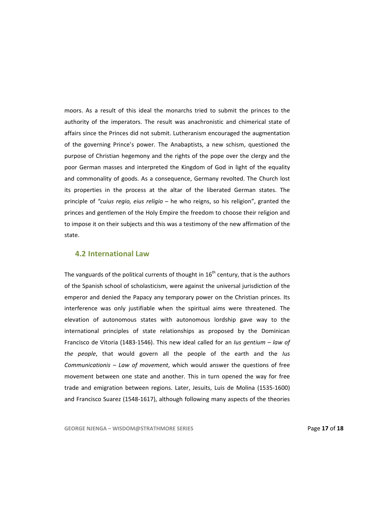moors. As a result of this ideal the monarchs tried to submit the princes to the authority of the imperators. The result was anachronistic and chimerical state of affairs since the Princes did not submit. Lutheranism encouraged the augmentation of the governing Prince's power. The Anabaptists, a new schism, questioned the purpose of Christian hegemony and the rights of the pope over the clergy and the poor German masses and interpreted the Kingdom of God in light of the equality and commonality of goods. As a consequence, Germany revolted. The Church lost its properties in the process at the altar of the liberated German states. The principle of *"cuius regio, eius religio* – he who reigns, so his religion", granted the princes and gentlemen of the Holy Empire the freedom to choose their religion and to impose it on their subjects and this was a testimony of the new affirmation of the state.

### **4.2 International Law**

The vanguards of the political currents of thought in  $16<sup>th</sup>$  century, that is the authors of the Spanish school of scholasticism, were against the universal jurisdiction of the emperor and denied the Papacy any temporary power on the Christian princes. Its interference was only justifiable when the spiritual aims were threatened. The elevation of autonomous states with autonomous lordship gave way to the international principles of state relationships as proposed by the Dominican Francisco de Vitoria (1483‐1546). This new ideal called for an *Ius gentium – law of the people*, that would govern all the people of the earth and the *Ius Communicationis – Law of movement*, which would answer the questions of free movement between one state and another. This in turn opened the way for free trade and emigration between regions. Later, Jesuits, Luis de Molina (1535‐1600) and Francisco Suarez (1548-1617), although following many aspects of the theories

**GEORGE NJENGA – WISDOM@STRATHMORE SERIES** Page **17** of **18**